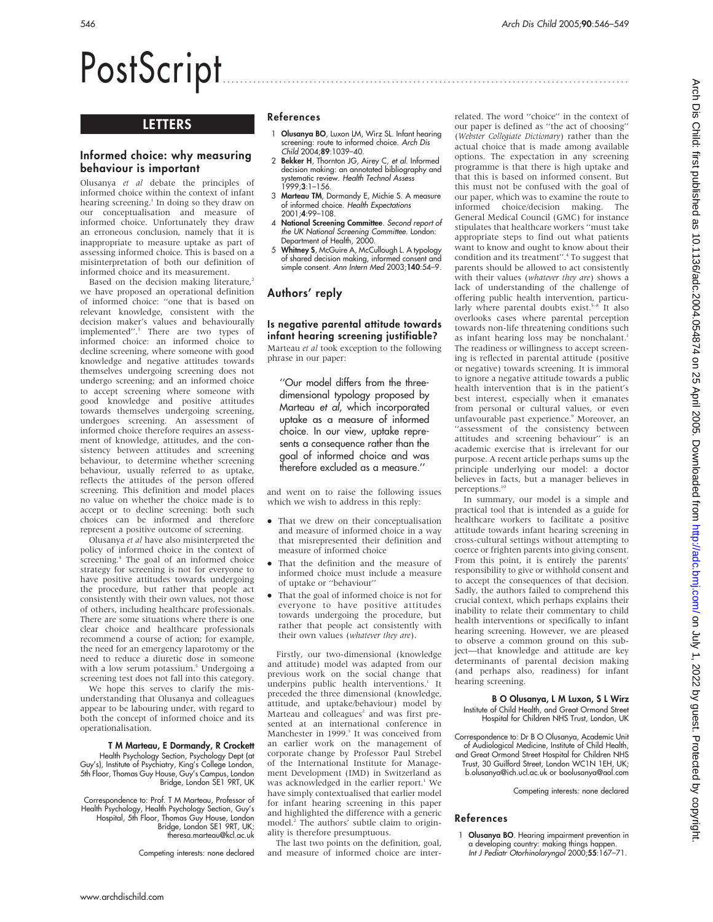# PostScript

# **LETTERS**

# Informed choice: why measuring behaviour is important

Olusanya et al debate the principles of informed choice within the context of infant hearing screening.<sup>1</sup> In doing so they draw on our conceptualisation and measure of informed choice. Unfortunately they draw an erroneous conclusion, namely that it is inappropriate to measure uptake as part of assessing informed choice. This is based on a misinterpretation of both our definition of informed choice and its measurement.

Based on the decision making literature,<sup>2</sup> we have proposed an operational definition of informed choice: ''one that is based on relevant knowledge, consistent with the decision maker's values and behaviourally implemented''.3 There are two types of informed choice: an informed choice to decline screening, where someone with good knowledge and negative attitudes towards themselves undergoing screening does not undergo screening; and an informed choice to accept screening where someone with good knowledge and positive attitudes towards themselves undergoing screening, undergoes screening. An assessment of informed choice therefore requires an assessment of knowledge, attitudes, and the consistency between attitudes and screening behaviour, to determine whether screening behaviour, usually referred to as uptake, reflects the attitudes of the person offered screening. This definition and model places no value on whether the choice made is to accept or to decline screening: both such choices can be informed and therefore represent a positive outcome of screening.

Olusanya et al have also misinterpreted the policy of informed choice in the context of screening.<sup>4</sup> The goal of an informed choice strategy for screening is not for everyone to have positive attitudes towards undergoing the procedure, but rather that people act consistently with their own values, not those of others, including healthcare professionals. There are some situations where there is one clear choice and healthcare professionals recommend a course of action; for example, the need for an emergency laparotomy or the need to reduce a diuretic dose in someone with a low serum potassium.<sup>5</sup> Undergoing a screening test does not fall into this category.

We hope this serves to clarify the misunderstanding that Olusanya and colleagues appear to be labouring under, with regard to both the concept of informed choice and its operationalisation.

## T M Marteau, E Dormandy, R Crockett

Health Psychology Section, Psychology Dept (at Guy's), Institute of Psychiatry, King's College London, 5th Floor, Thomas Guy House, Guy's Campus, London Bridge, London SE1 9RT, UK

Correspondence to: Prof. T M Marteau, Professor of Health Psychology, Health Psychology Section, Guy's Hospital, 5th Floor, Thomas Guy House, London Bridge, London SE1 9RT, UK; theresa.marteau@kcl.ac.uk

Competing interests: none declared

# References

- 1 Olusanya BO, Luxon LM, Wirz SL. Infant hearing screening: route to informed choice. *Arch Dis*<br>*Child* 2004;**89**:1039–40.
- 2 Bekker H, Thornton JG, Airey C, et al. Informed decision making: an annotated bibliography and systematic review. Health Technol Assess 1999;3:1–156.
- 3 Marteau TM, Dormandy E, Michie S. A measure of informed choice. Health Expectations 2001;4:99–108.
- 4 National Screening Committee. Second report of the UK National Screening Committee. London: Department of Health, 2000.
- 5 Whitney S, McGuire A, McCullough L. A typology of shared decision making, informed consent and simple consent. Ann Intern Med 2003;140:54–9.

# Authors' reply

Is negative parental attitude towards infant hearing screening justifiable? Marteau et al took exception to the following phrase in our paper:

''Our model differs from the threedimensional typology proposed by Marteau et al, which incorporated uptake as a measure of informed choice. In our view, uptake represents a consequence rather than the goal of informed choice and was therefore excluded as a measure.''

and went on to raise the following issues which we wish to address in this reply:

- That we drew on their conceptualisation and measure of informed choice in a way that misrepresented their definition and measure of informed choice
- That the definition and the measure of informed choice must include a measure of uptake or ''behaviour''
- That the goal of informed choice is not for everyone to have positive attitudes towards undergoing the procedure, but rather that people act consistently with their own values (whatever they are).

Firstly, our two-dimensional (knowledge and attitude) model was adapted from our previous work on the social change that underpins public health interventions.<sup>1</sup> It preceded the three dimensional (knowledge, attitude, and uptake/behaviour) model by Marteau and colleagues<sup>2</sup> and was first presented at an international conference in Manchester in 1999.<sup>3</sup> It was conceived from an earlier work on the management of corporate change by Professor Paul Strebel of the International Institute for Management Development (IMD) in Switzerland as was acknowledged in the earlier report.<sup>1</sup> We have simply contextualised that earlier model for infant hearing screening in this paper and highlighted the difference with a generic model.<sup>2</sup> The authors' subtle claim to originality is therefore presumptuous.

The last two points on the definition, goal, and measure of informed choice are inter-

related. The word ''choice'' in the context of our paper is defined as ''the act of choosing'' (Webster Collegiate Dictionary) rather than the actual choice that is made among available options. The expectation in any screening programme is that there is high uptake and that this is based on informed consent. But this must not be confused with the goal of our paper, which was to examine the route to informed choice/decision making. The General Medical Council (GMC) for instance stipulates that healthcare workers ''must take appropriate steps to find out what patients want to know and ought to know about their condition and its treatment''.<sup>4</sup> To suggest that parents should be allowed to act consistently with their values (whatever they are) shows a lack of understanding of the challenge of offering public health intervention, particularly where parental doubts exist.<sup>5-8</sup> It also overlooks cases where parental perception towards non-life threatening conditions such as infant hearing loss may be nonchalant.<sup>1</sup> The readiness or willingness to accept screening is reflected in parental attitude (positive or negative) towards screening. It is immoral to ignore a negative attitude towards a public health intervention that is in the patient's best interest, especially when it emanates from personal or cultural values, or even unfavourable past experience.<sup>9</sup> Moreover, an ''assessment of the consistency between attitudes and screening behaviour'' is an academic exercise that is irrelevant for our purpose. A recent article perhaps sums up the principle underlying our model: a doctor believes in facts, but a manager believes in perceptions.<sup>10</sup>

In summary, our model is a simple and practical tool that is intended as a guide for healthcare workers to facilitate a positive attitude towards infant hearing screening in cross-cultural settings without attempting to coerce or frighten parents into giving consent. From this point, it is entirely the parents' responsibility to give or withhold consent and to accept the consequences of that decision. Sadly, the authors failed to comprehend this crucial context, which perhaps explains their inability to relate their commentary to child health interventions or specifically to infant hearing screening. However, we are pleased to observe a common ground on this subject—that knowledge and attitude are key determinants of parental decision making (and perhaps also, readiness) for infant hearing screening.

#### B O Olusanya, L M Luxon, S L Wirz Institute of Child Health, and Great Ormond Street Hospital for Children NHS Trust, London, UK

Correspondence to: Dr B O Olusanya, Academic Unit of Audiological Medicine, Institute of Child Health, and Great Ormond Street Hospital for Children NHS Trust, 30 Guilford Street, London WC1N 1EH, UK; b.olusanya@ich.ucl.ac.uk or boolusanya@aol.com

Competing interests: none declared

## References

1 Olusanya BO. Hearing impairment prevention in a developing country: making things happen. Int J Pediatr Otorhinolaryngol 2000;55:167–71.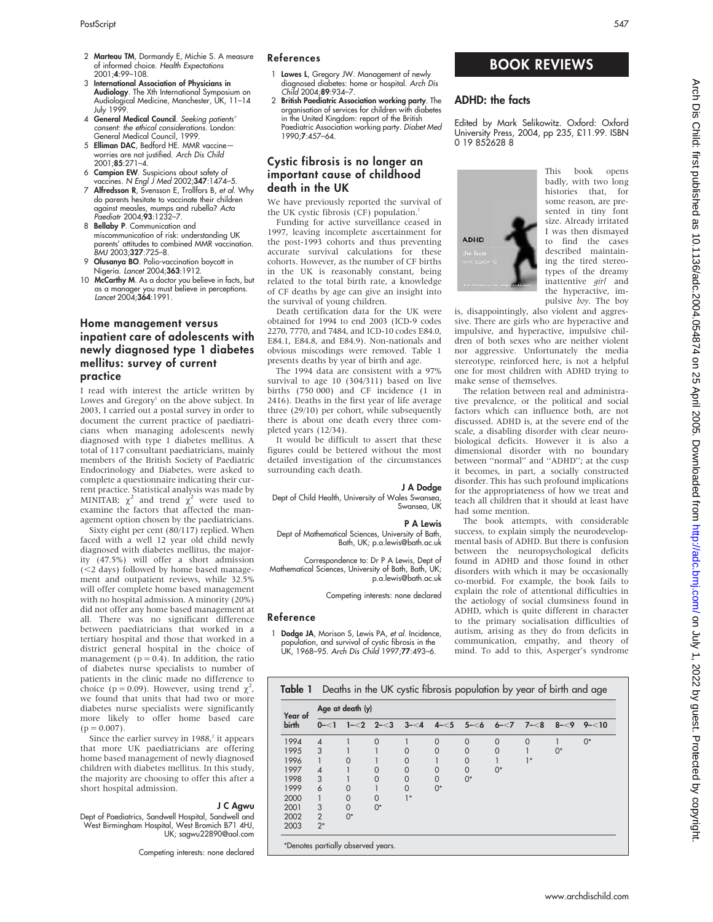- 2 Marteau TM, Dormandy E, Michie S. A measure of informed choice. Health Expectations 2001;4:99–108.
- 3 International Association of Physicians in Audiology. The Xth International Symposium on Audiological Medicine, Manchester, UK, 11–14 July 1999.
- 4 General Medical Council. Seeking patients' consent: the ethical considerations. London: General Medical Council, 1999.
- 5 Elliman DAC, Bedford HE. MMR vaccine worries are not justified. Arch Dis Child 2001;85:271–4.
- 6 Campion EW. Suspicions about safety of vaccines. N Engl J Med 2002;347:1474-5.
- 7 Alfredsson R, Svensson E, Trollfors B, et al. Why do parents hesitate to vaccinate their children against measles, mumps and rubella? Acta Paediatr 2004;93:1232–7.
- 8 Bellaby P. Communication and miscommunication of risk: understanding UK parents' attitudes to combined MMR vaccination. .<br>BMJ 2003:**327**:725-8.
- 9 Olusanya BO. Polio-vaccination boycott in Nigeria. Lancet 2004;363:1912.
- 10 McCarthy M. As a doctor you believe in facts, but as a manager you must believe in perceptions.<br>*Lancet* 2004;**364**:1991.

## Home management versus inpatient care of adolescents with newly diagnosed type 1 diabetes mellitus: survey of current practice

I read with interest the article written by Lowes and Gregory<sup>1</sup> on the above subject. In 2003, I carried out a postal survey in order to document the current practice of paediatricians when managing adolescents newly diagnosed with type 1 diabetes mellitus. A total of 117 consultant paediatricians, mainly members of the British Society of Paediatric Endocrinology and Diabetes, were asked to complete a questionnaire indicating their current practice. Statistical analysis was made by MINITAB;  $\chi^2$  and trend  $\chi^2$  were used to examine the factors that affected the management option chosen by the paediatricians.

Sixty eight per cent (80/117) replied. When faced with a well 12 year old child newly diagnosed with diabetes mellitus, the majority (47.5%) will offer a short admission  $(<$ 2 days) followed by home based management and outpatient reviews, while 32.5% will offer complete home based management with no hospital admission. A minority (20%) did not offer any home based management at all. There was no significant difference between paediatricians that worked in a tertiary hospital and those that worked in a district general hospital in the choice of management ( $p = 0.\overline{4}$ ). In addition, the ratio of diabetes nurse specialists to number of patients in the clinic made no difference to choice ( $p = 0.09$ ). However, using trend  $\chi^2$ , we found that units that had two or more diabetes nurse specialists were significantly more likely to offer home based care  $(p = 0.007)$ .

Since the earlier survey in  $1988$ ,<sup>2</sup> it appears that more UK paediatricians are offering home based management of newly diagnosed children with diabetes mellitus. In this study, the majority are choosing to offer this after a short hospital admission.

## J C Agwu

Dept of Paediatrics, Sandwell Hospital, Sandwell and West Birmingham Hospital, West Bromich B71 4HJ, UK; sagwu22890@aol.com

Competing interests: none declared

## References

- 1 Lowes L, Gregory JW. Management of newly diagnosed diabetes: home or hospital. Arch Dis Child 2004;89:934–7.
- 2 British Paediatric Association working party. The organisation of services for children with diabetes in the United Kingdom: report of the British Paediatric Association working party. Diabet Med 1990;7:457–64.

## Cystic fibrosis is no longer an important cause of childhood death in the UK

We have previously reported the survival of the UK cystic fibrosis (CF) population.<sup>1</sup>

Funding for active surveillance ceased in 1997, leaving incomplete ascertainment for the post-1993 cohorts and thus preventing accurate survival calculations for these cohorts. However, as the number of CF births in the UK is reasonably constant, being related to the total birth rate, a knowledge of CF deaths by age can give an insight into the survival of young children.

Death certification data for the UK were obtained for 1994 to end 2003 (ICD-9 codes 2270, 7770, and 7484, and ICD-10 codes E84.0, E84.1, E84.8, and E84.9). Non-nationals and obvious miscodings were removed. Table 1 presents deaths by year of birth and age.

The 1994 data are consistent with a 97% survival to age 10 (304/311) based on live births (750 000) and CF incidence (1 in 2416). Deaths in the first year of life average three (29/10) per cohort, while subsequently there is about one death every three completed years (12/34).

It would be difficult to assert that these figures could be bettered without the most detailed investigation of the circumstances surrounding each death.

#### J A Dodge

Dept of Child Health, University of Wales Swansea, Swansea, UK

#### P A Lewis

Dept of Mathematical Sciences, University of Bath, Bath, UK; p.a.lewis@bath.ac.uk

Correspondence to: Dr P A Lewis, Dept of Mathematical Sciences, University of Bath, Bath, UK; p.a.lewis@bath.ac.uk

Competing interests: none declared

### Reference

1 Dodge JA, Morison S, Lewis PA, et al. Incidence, population, and survival of cystic fibrosis in the UK, 1968–95. Arch Dis Child 1997;77:493–6.

# BOOK REVIEWS

## ADHD: the facts

Edited by Mark Selikowitz. Oxford: Oxford University Press, 2004, pp 235, £11.99. ISBN 0 19 852628 8

**ADHD** 

This book opens badly, with two long histories that, for some reason, are presented in tiny font size. Already irritated I was then dismayed to find the cases described maintaining the tired stereotypes of the dreamy inattentive girl and the hyperactive, impulsive boy. The boy

is, disappointingly, also violent and aggressive. There are girls who are hyperactive and impulsive, and hyperactive, impulsive children of both sexes who are neither violent nor aggressive. Unfortunately the media stereotype, reinforced here, is not a helpful one for most children with ADHD trying to make sense of themselves.

The relation between real and administrative prevalence, or the political and social factors which can influence both, are not discussed. ADHD is, at the severe end of the scale, a disabling disorder with clear neurobiological deficits. However it is also a dimensional disorder with no boundary between ''normal'' and ''ADHD''; at the cusp it becomes, in part, a socially constructed disorder. This has such profound implications for the appropriateness of how we treat and teach all children that it should at least have had some mention.

The book attempts, with considerable success, to explain simply the neurodevelopmental basis of ADHD. But there is confusion between the neuropsychological deficits found in ADHD and those found in other disorders with which it may be occasionally co-morbid. For example, the book fails to explain the role of attentional difficulties in the aetiology of social clumsiness found in ADHD, which is quite different in character to the primary socialisation difficulties of autism, arising as they do from deficits in communication, empathy, and theory of mind. To add to this, Asperger's syndrome

| Year of<br><b>birth</b> | Age at death (y)         |             |             |          |                                               |          |          |          |        |       |
|-------------------------|--------------------------|-------------|-------------|----------|-----------------------------------------------|----------|----------|----------|--------|-------|
|                         | $0 - 1$                  |             |             |          | 1-<2 2-<3 3-<4 4-<5 5-<6 6-<7 7-<8 8-<9 9-<10 |          |          |          |        |       |
| 1994                    | 4                        |             | Ω           |          | Ω                                             | 0        | $\Omega$ | $\Omega$ |        | $0^*$ |
| 1995                    | 3                        |             |             |          | $\Omega$                                      | O        | 0        |          | $()^*$ |       |
| 1996                    |                          |             |             |          |                                               |          |          | $1*$     |        |       |
| 1997                    | $\overline{\mathcal{A}}$ |             |             | 0        | 0                                             | $\Omega$ | $0^*$    |          |        |       |
| 1998                    | 3                        |             | 0           | 0        | $\Omega$                                      | $0^*$    |          |          |        |       |
| 1999                    | 6                        |             |             | $\Omega$ | $0^*$                                         |          |          |          |        |       |
| 2000                    |                          | 0           | $\mathbf 0$ | $1*$     |                                               |          |          |          |        |       |
| 2001                    | 3                        | $\mathbf 0$ | $0^*$       |          |                                               |          |          |          |        |       |
| 2002                    | $\overline{2}$           | $0^*$       |             |          |                                               |          |          |          |        |       |
| 2003                    | $2^*$                    |             |             |          |                                               |          |          |          |        |       |

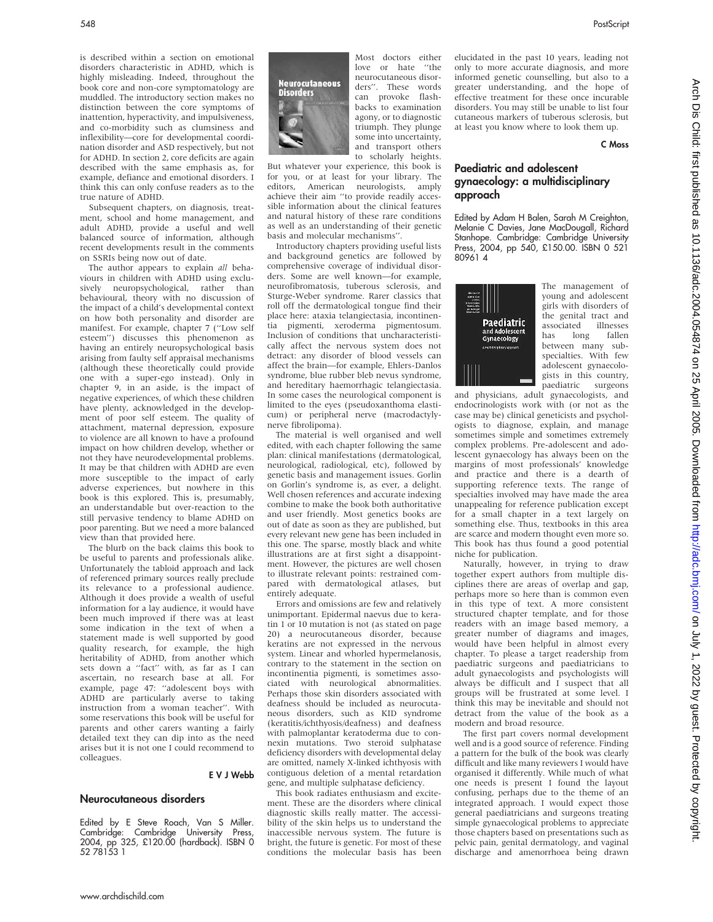is described within a section on emotional disorders characteristic in ADHD, which is highly misleading. Indeed, throughout the book core and non-core symptomatology are muddled. The introductory section makes no distinction between the core symptoms of inattention, hyperactivity, and impulsiveness, and co-morbidity such as clumsiness and inflexibility—core for developmental coordination disorder and ASD respectively, but not for ADHD. In section 2, core deficits are again described with the same emphasis as, for example, defiance and emotional disorders. I think this can only confuse readers as to the true nature of ADHD.

Subsequent chapters, on diagnosis, treatment, school and home management, and adult ADHD, provide a useful and well balanced source of information, although recent developments result in the comments on SSRIs being now out of date.

The author appears to explain all behaviours in children with ADHD using exclusively neuropsychological, rather than behavioural, theory with no discussion of the impact of a child's developmental context on how both personality and disorder are manifest. For example, chapter 7 (''Low self esteem'') discusses this phenomenon as having an entirely neuropsychological basis arising from faulty self appraisal mechanisms (although these theoretically could provide one with a super-ego instead). Only in chapter 9, in an aside, is the impact of negative experiences, of which these children have plenty, acknowledged in the development of poor self esteem. The quality of attachment, maternal depression, exposure to violence are all known to have a profound impact on how children develop, whether or not they have neurodevelopmental problems. It may be that children with ADHD are even more susceptible to the impact of early adverse experiences, but nowhere in this book is this explored. This is, presumably, an understandable but over-reaction to the still pervasive tendency to blame ADHD on poor parenting. But we need a more balanced view than that provided here.

The blurb on the back claims this book to be useful to parents and professionals alike. Unfortunately the tabloid approach and lack of referenced primary sources really preclude its relevance to a professional audience. Although it does provide a wealth of useful information for a lay audience, it would have been much improved if there was at least some indication in the text of when a statement made is well supported by good quality research, for example, the high heritability of ADHD, from another which sets down a "fact" with, as far as I can ascertain, no research base at all. For example, page 47: "adolescent boys with ADHD are particularly averse to taking instruction from a woman teacher''. With some reservations this book will be useful for parents and other carers wanting a fairly detailed text they can dip into as the need arises but it is not one I could recommend to colleagues.

# E V J Webb

## Neurocutaneous disorders

Edited by E Steve Roach, Van S Miller. Cambridge: Cambridge University Press, 2004, pp 325, £120.00 (hardback). ISBN 0 52 78153 1

Neurocutaneous<br>Disorders

Most doctors either love or hate ''the neurocutaneous disorders''. These words can provoke flashbacks to examination agony, or to diagnostic triumph. They plunge some into uncertainty, and transport others to scholarly heights.

But whatever your experience, this book is for you, or at least for your library. The editors, American neurologists, amply achieve their aim ''to provide readily accessible information about the clinical features and natural history of these rare conditions as well as an understanding of their genetic basis and molecular mechanisms''.

Introductory chapters providing useful lists and background genetics are followed by comprehensive coverage of individual disorders. Some are well known—for example, neurofibromatosis, tuberous sclerosis, and Sturge-Weber syndrome. Rarer classics that roll off the dermatological tongue find their place here: ataxia telangiectasia, incontinentia pigmenti, xeroderma pigmentosum. Inclusion of conditions that uncharacteristically affect the nervous system does not detract: any disorder of blood vessels can affect the brain—for example, Ehlers-Danlos syndrome, blue rubber bleb nevus syndrome, and hereditary haemorrhagic telangiectasia. In some cases the neurological component is limited to the eyes (pseudoxanthoma elasticum) or peripheral nerve (macrodactylynerve fibrolipoma).

The material is well organised and well edited, with each chapter following the same plan: clinical manifestations (dermatological, neurological, radiological, etc), followed by genetic basis and management issues. Gorlin on Gorlin's syndrome is, as ever, a delight. Well chosen references and accurate indexing combine to make the book both authoritative and user friendly. Most genetics books are out of date as soon as they are published, but every relevant new gene has been included in this one. The sparse, mostly black and white illustrations are at first sight a disappointment. However, the pictures are well chosen to illustrate relevant points: restrained compared with dermatological atlases, but entirely adequate.

Errors and omissions are few and relatively unimportant. Epidermal naevus due to keratin 1 or 10 mutation is not (as stated on page 20) a neurocutaneous disorder, because keratins are not expressed in the nervous system. Linear and whorled hypermelanosis, contrary to the statement in the section on incontinentia pigmenti, is sometimes associated with neurological abnormalities. Perhaps those skin disorders associated with deafness should be included as neurocutaneous disorders, such as KID syndrome (keratitis/ichthyosis/deafness) and deafness with palmoplantar keratoderma due to connexin mutations. Two steroid sulphatase deficiency disorders with developmental delay are omitted, namely X-linked ichthyosis with contiguous deletion of a mental retardation gene, and multiple sulphatase deficiency.

This book radiates enthusiasm and excitement. These are the disorders where clinical diagnostic skills really matter. The accessibility of the skin helps us to understand the inaccessible nervous system. The future is bright, the future is genetic. For most of these conditions the molecular basis has been

elucidated in the past 10 years, leading not only to more accurate diagnosis, and more informed genetic counselling, but also to a greater understanding, and the hope of effective treatment for these once incurable disorders. You may still be unable to list four cutaneous markers of tuberous sclerosis, but at least you know where to look them up.

C Moss

## Paediatric and adolescent gynaecology: a multidisciplinary approach

Edited by Adam H Balen, Sarah M Creighton, Melanie C Davies, Jane MacDougall, Richard Stanhope. Cambridge: Cambridge University Press, 2004, pp 540, £150.00. ISBN 0 521 80961 4



The management of young and adolescent girls with disorders of the genital tract and<br>associated illnesses associated has long fallen between many subspecialties. With few adolescent gynaecologists in this country, paediatric surgeons

and physicians, adult gynaecologists, and endocrinologists work with (or not as the case may be) clinical geneticists and psychologists to diagnose, explain, and manage sometimes simple and sometimes extremely complex problems. Pre-adolescent and adolescent gynaecology has always been on the margins of most professionals' knowledge and practice and there is a dearth of supporting reference texts. The range of specialties involved may have made the area unappealing for reference publication except for a small chapter in a text largely on something else. Thus, textbooks in this area are scarce and modern thought even more so. This book has thus found a good potential niche for publication.

Naturally, however, in trying to draw together expert authors from multiple disciplines there are areas of overlap and gap, perhaps more so here than is common even in this type of text. A more consistent structured chapter template, and for those readers with an image based memory, a greater number of diagrams and images, would have been helpful in almost every chapter. To please a target readership from paediatric surgeons and paediatricians to adult gynaecologists and psychologists will always be difficult and I suspect that all groups will be frustrated at some level. I think this may be inevitable and should not detract from the value of the book as a modern and broad resource.

The first part covers normal development well and is a good source of reference. Finding a pattern for the bulk of the book was clearly difficult and like many reviewers I would have organised it differently. While much of what one needs is present I found the layout confusing, perhaps due to the theme of an integrated approach. I would expect those general paediatricians and surgeons treating simple gynaecological problems to appreciate those chapters based on presentations such as pelvic pain, genital dermatology, and vaginal discharge and amenorrhoea being drawn